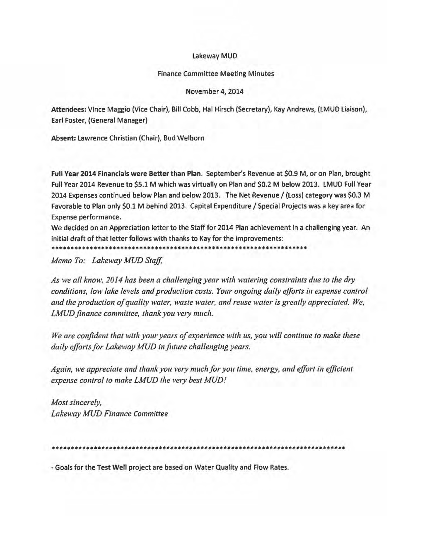## lakeway MUD

## Finance Committee Meeting Minutes

## November 4, 2014

Attendees: Vince Maggio (Vice Chair), Bill Cobb, Hal Hirsch (Secretary), Kay Andrews, {lMUO liaison), Earl Foster, (General Manager)

Absent: lawrence Christian (Chair), Bud Welborn

Full Year 2014 Financials were Better than Plan. September's Revenue at \$0.9 M, or on Plan, brought Full Year 2014 Revenue to \$5.1 M which was virtually on Plan and \$0.2 M below 2013. LMUO Full Year 2014 Expenses continued below Plan and below 2013. The Net Revenue / (Loss) category was \$0.3 M Favorable to Plan only \$0.1 M behind 2013. Capital Expenditure / Special Projects was a key area for Expense performance.

We decided on an Appreciation letter to the Staff for 2014 Plan achievement in a challenging year. An initial draft of that letter follows with thanks to Kay for the improvements:

•••••••••••••••••••••••••••••••••••••••••••••••••••••••••••••••••••

*Memo To: Lakeway MUD Staff,* 

*As we all know, 2014 has been a challenging year with watering constraints due to the dry conditions, low lake levels and production costs. Your ongoing daily efforts in expense control and the production of quality water, waste water, and reuse water is greatly appreciated. We, LMUD finance committee, thank you very much.* 

*We are confident that with your years of experience with us, you will continue to make these daily efforts for Lakeway MUD in future challenging years.* 

*Again, we appreciate and thank you very much for you time, energy, and effort in efficient* expense control to make LMUD the very best MUD!

*Most sincerely, Lakeway MUD Finance Committee* 

•••••••••••••••••••••••••••••••••••••••••••••••••••••••••••••••••••••••••••••

-Goals for the Test Well project are based on Water Quality and Flow Rates.